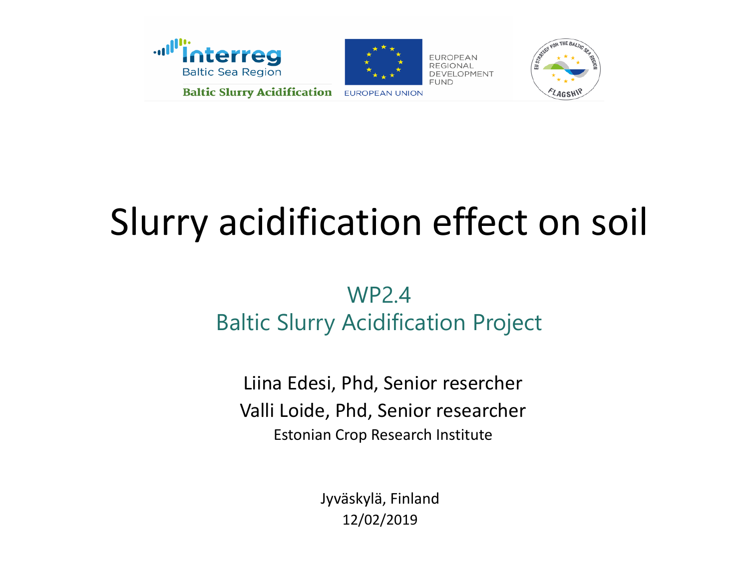



**EUROPEAN UNION** 

**EUROPEAN** DEVELOPMENT



## Slurry acidification effect on soil

#### WP2.4 Baltic Slurry Acidification Project

Liina Edesi, Phd, Senior resercher Valli Loide, Phd, Senior researcher Estonian Crop Research Institute

> Jyväskylä, Finland 12/02/2019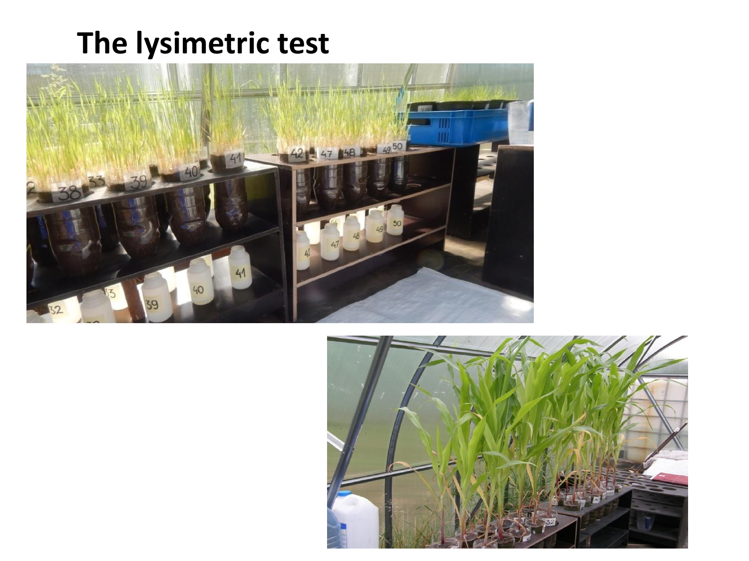#### **The lysimetric test**



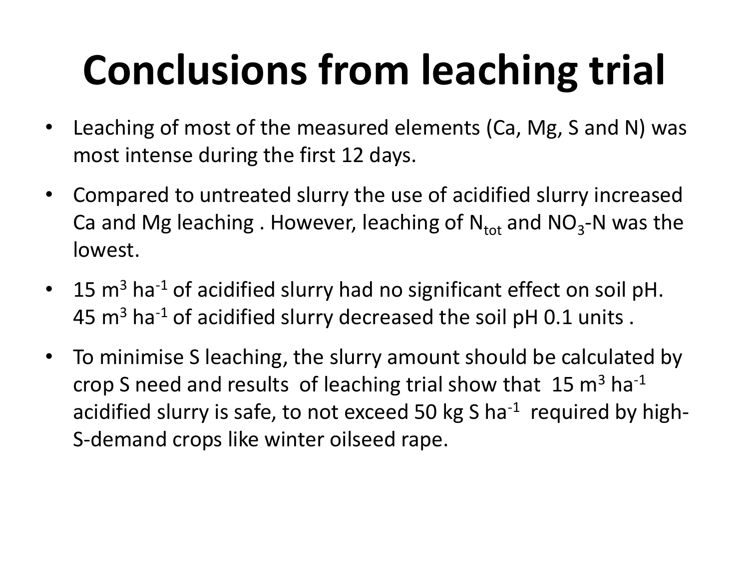# **Conclusions from leaching trial**

- Leaching of most of the measured elements (Ca, Mg, S and N) was most intense during the first 12 days.
- Compared to untreated slurry the use of acidified slurry increased Ca and Mg leaching . However, leaching of  $N_{\text{tot}}$  and  $NO_3$ -N was the lowest.
- 15  $m<sup>3</sup>$  ha<sup>-1</sup> of acidified slurry had no significant effect on soil pH. 45  $m<sup>3</sup>$  ha<sup>-1</sup> of acidified slurry decreased the soil pH 0.1 units.
- To minimise S leaching, the slurry amount should be calculated by crop S need and results of leaching trial show that  $15 \text{ m}^3 \text{ ha}^{-1}$ acidified slurry is safe, to not exceed 50 kg S ha<sup>-1</sup> required by high-S-demand crops like winter oilseed rape.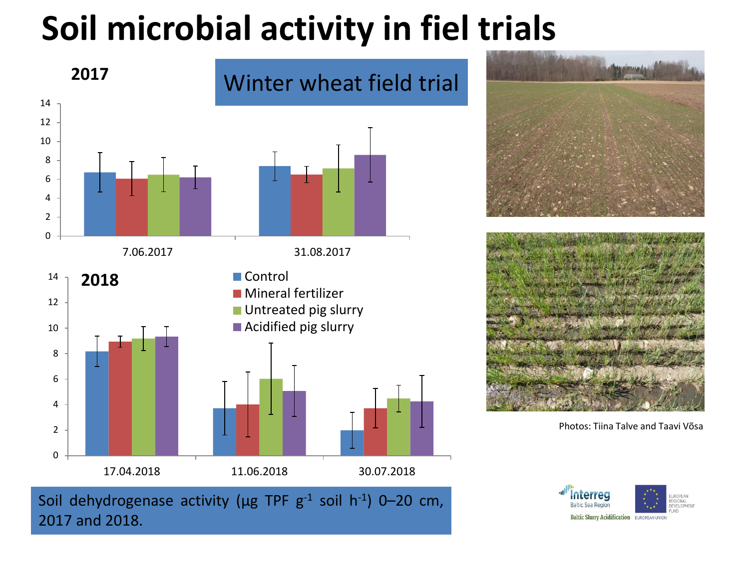### **Soil microbial activity in fiel trials**







Photos: Tiina Talve and Taavi Võsa

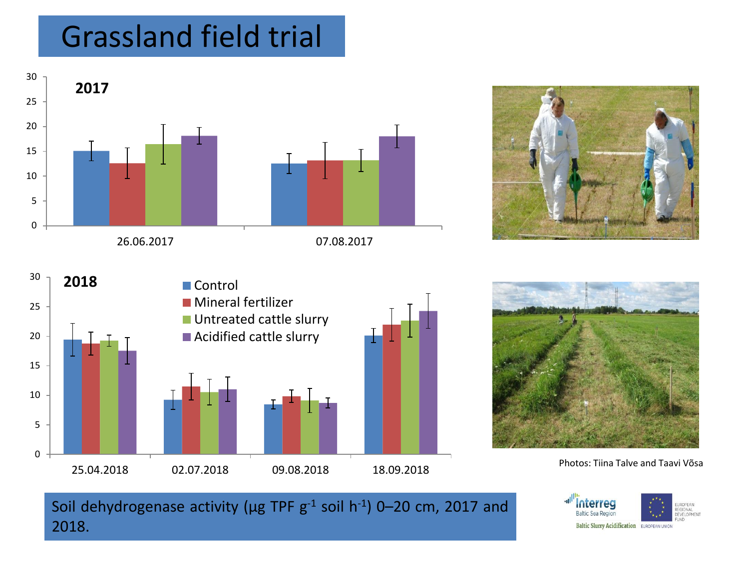#### Grassland field trial









Photos: Tiina Talve and Taavi Võsa

Soil dehydrogenase activity ( $\mu$ g TPF g<sup>-1</sup> soil h<sup>-1</sup>) 0–20 cm, 2017 and 2018.